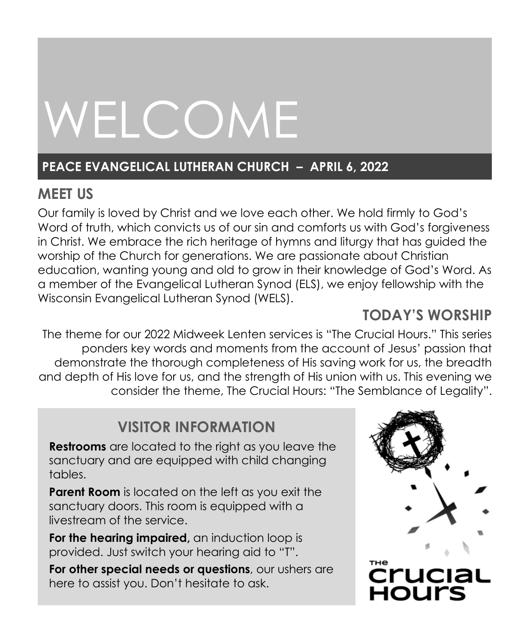# WELCOME

# **PEACE EVANGELICAL LUTHERAN CHURCH – APRIL 6, 2022**

# **MEET US**

Our family is loved by Christ and we love each other. We hold firmly to God's Word of truth, which convicts us of our sin and comforts us with God's forgiveness in Christ. We embrace the rich heritage of hymns and liturgy that has guided the worship of the Church for generations. We are passionate about Christian education, wanting young and old to grow in their knowledge of God's Word. As a member of the Evangelical Lutheran Synod (ELS), we enjoy fellowship with the Wisconsin Evangelical Lutheran Synod (WELS).

# **TODAY'S WORSHIP**

The theme for our 2022 Midweek Lenten services is "The Crucial Hours." This series ponders key words and moments from the account of Jesus' passion that demonstrate the thorough completeness of His saving work for us, the breadth and depth of His love for us, and the strength of His union with us. This evening we consider the theme, The Crucial Hours: "The Semblance of Legality".

# **VISITOR INFORMATION**

**Restrooms** are located to the right as you leave the sanctuary and are equipped with child changing tables.

**Parent Room** is located on the left as you exit the sanctuary doors. This room is equipped with a livestream of the service.

**For the hearing impaired,** an induction loop is provided. Just switch your hearing aid to "T".

**For other special needs or questions**, our ushers are here to assist you. Don't hesitate to ask.

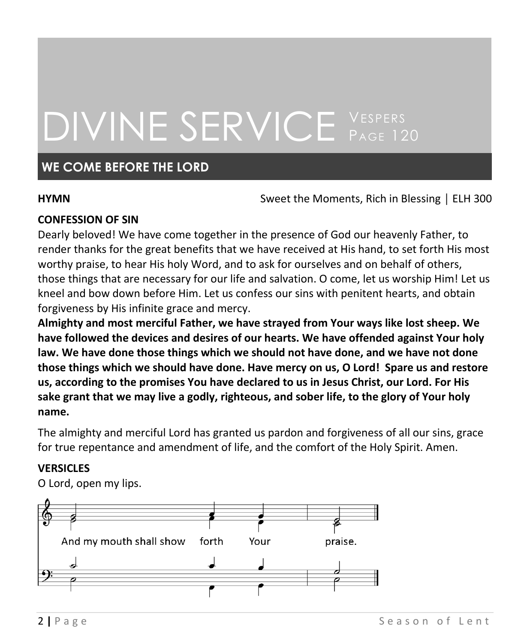# DIVINE SERVICE VESPERS

## **WE COME BEFORE THE LORD**

**HYMN Sweet the Moments, Rich in Blessing** | ELH 300

### **CONFESSION OF SIN**

Dearly beloved! We have come together in the presence of God our heavenly Father, to render thanks for the great benefits that we have received at His hand, to set forth His most worthy praise, to hear His holy Word, and to ask for ourselves and on behalf of others, those things that are necessary for our life and salvation. O come, let us worship Him! Let us kneel and bow down before Him. Let us confess our sins with penitent hearts, and obtain forgiveness by His infinite grace and mercy.

**Almighty and most merciful Father, we have strayed from Your ways like lost sheep. We have followed the devices and desires of our hearts. We have offended against Your holy law. We have done those things which we should not have done, and we have not done those things which we should have done. Have mercy on us, O Lord! Spare us and restore us, according to the promises You have declared to us in Jesus Christ, our Lord. For His sake grant that we may live a godly, righteous, and sober life, to the glory of Your holy name.**

The almighty and merciful Lord has granted us pardon and forgiveness of all our sins, grace for true repentance and amendment of life, and the comfort of the Holy Spirit. Amen.

### **VERSICLES**

O Lord, open my lips.

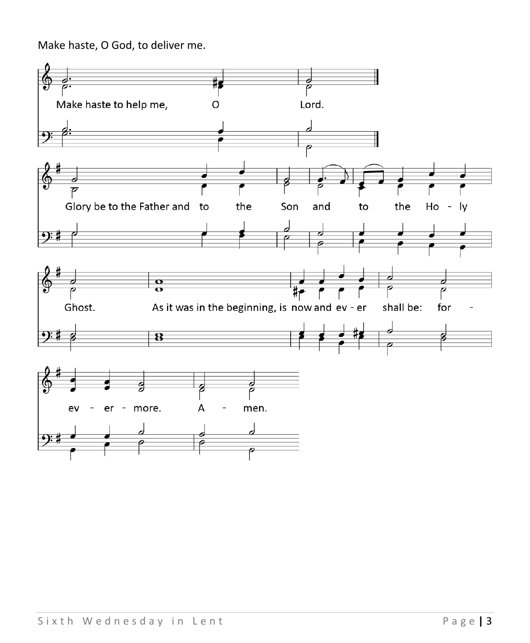Make haste, O God, to deliver me.

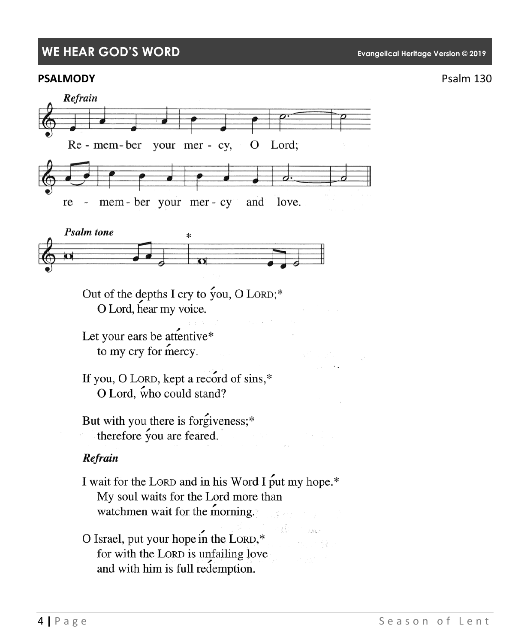## **WE HEAR GOD'S WORD Evangelical Heritage Version © 2019**

#### **PSALMODY** PSALMODY





Out of the depths I cry to you, O LORD;\* O Lord, hear my voice.

Let your ears be attentive\* to my cry for mercy.

If you, O LORD, kept a record of sins,\* O Lord, who could stand?

But with you there is forgiveness;\* therefore you are feared.

#### Refrain

I wait for the LORD and in his Word I put my hope.\* My soul waits for the Lord more than watchmen wait for the morning.

O Israel, put your hope in the LORD,\* for with the LORD is unfailing love and with him is full redemption.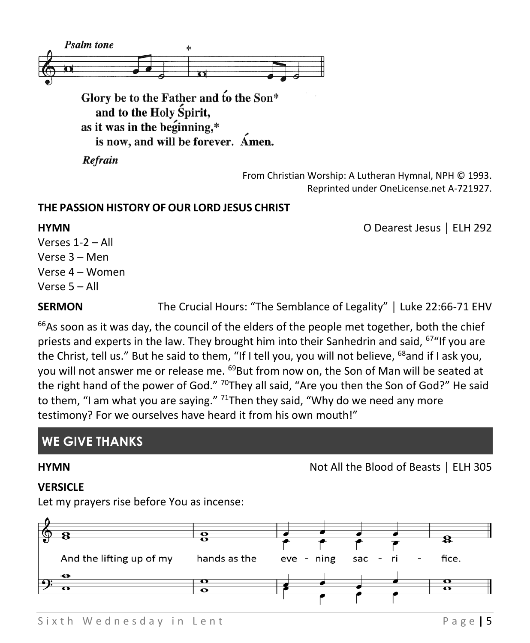

Refrain

From Christian Worship: A Lutheran Hymnal, NPH © 1993. Reprinted under OneLicense.net A-721927.

#### **THE PASSION HISTORY OFOUR LORD JESUS CHRIST**

**HYMN** O Dearest Jesus │ ELH 292

Verses 1-2 – All Verse 3 – Men Verse 4 – Women Verse 5 – All

**SERMON** The Crucial Hours: "The Semblance of Legality" | Luke 22:66-71 EHV

 $66$ As soon as it was day, the council of the elders of the people met together, both the chief priests and experts in the law. They brought him into their Sanhedrin and said, <sup>67</sup> "If you are the Christ, tell us." But he said to them, "If I tell you, you will not believe, <sup>68</sup>and if I ask you, you will not answer me or release me. <sup>69</sup>But from now on, the Son of Man will be seated at the right hand of the power of God." <sup>70</sup>They all said, "Are you then the Son of God?" He said to them, "I am what you are saying."  $71$ Then they said, "Why do we need any more testimony? For we ourselves have heard it from his own mouth!"

# **WE GIVE THANKS**

# **HYMN** Not All the Blood of Beasts │ ELH 305

#### **VERSICLE**

Let my prayers rise before You as incense:

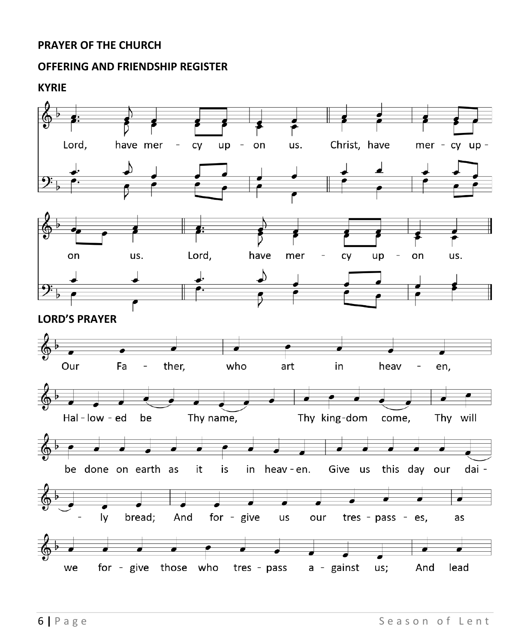#### **PRAYER OF THE CHURCH**

#### **OFFERING AND FRIENDSHIP REGISTER**

**KYRIE**

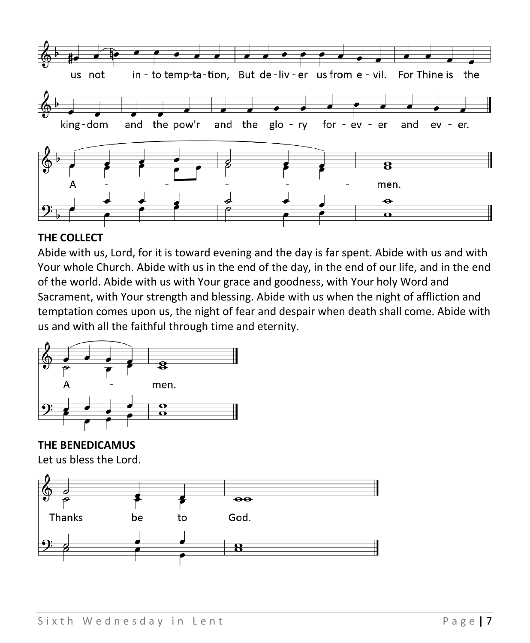

#### **THE COLLECT**

Abide with us, Lord, for it is toward evening and the day is far spent. Abide with us and with Your whole Church. Abide with us in the end of the day, in the end of our life, and in the end of the world. Abide with us with Your grace and goodness, with Your holy Word and Sacrament, with Your strength and blessing. Abide with us when the night of affliction and temptation comes upon us, the night of fear and despair when death shall come. Abide with us and with all the faithful through time and eternity.



**THE BENEDICAMUS** Let us bless the Lord.